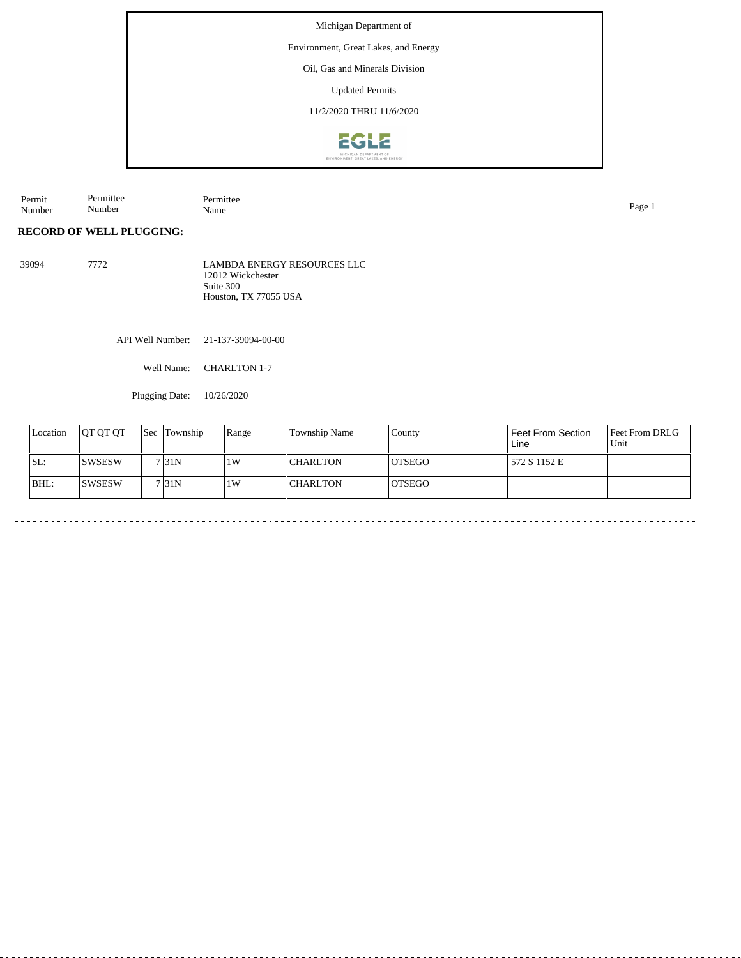Environment, Great Lakes, and Energy

Oil, Gas and Minerals Division

Updated Permits

11/2/2020 THRU 11/6/2020



Permit Number Permittee Number Permittee<br>Name Name Page 1

# **RECORD OF WELL PLUGGING:**

39094 7772 LAMBDA ENERGY RESOURCES LLC 12012 Wickchester Suite 300 Houston, TX 77055 USA

API Well Number: 21-137-39094-00-00

Well Name: CHARLTON 1-7

Plugging Date: 10/26/2020

| Location | <b>IOT OT OT</b> | 'Sec | Township         | Range | Township Name   | County         | <b>Feet From Section</b><br>Line | <b>Feet From DRLG</b><br>l Unit |
|----------|------------------|------|------------------|-------|-----------------|----------------|----------------------------------|---------------------------------|
| SL:      | ISWSESW          |      | 7 <sub>31N</sub> | 1W    | <b>CHARLTON</b> | IOTSEGO        | 572 S 1152 E                     |                                 |
| BHL:     | <b>ISWSESW</b>   |      | 7 <sub>31N</sub> | 1W    | <b>CHARLTON</b> | <b>IOTSEGO</b> |                                  |                                 |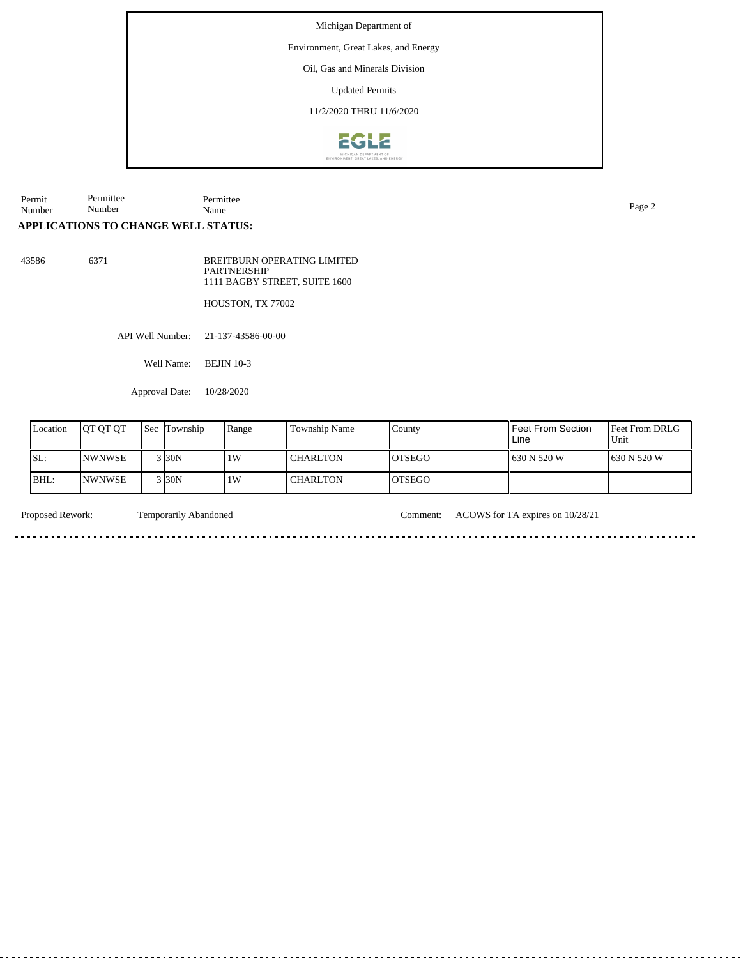Environment, Great Lakes, and Energy

Oil, Gas and Minerals Division

Updated Permits

11/2/2020 THRU 11/6/2020



Permit Number Permittee Number Permittee Name Page 2

## **APPLICATIONS TO CHANGE WELL STATUS:**

43586 6371

BREITBURN OPERATING LIMITED PARTNERSHIP 1111 BAGBY STREET, SUITE 1600

HOUSTON, TX 77002

API Well Number: 21-137-43586-00-00

Well Name: BEJIN 10-3

Approval Date: 10/28/2020

| Location | IOT OT OT      | Sec | Township | Range | <b>Township Name</b> | County        | l Feet From Section<br>Line | Feet From DRLG<br>Unit |
|----------|----------------|-----|----------|-------|----------------------|---------------|-----------------------------|------------------------|
| 'SL:     | <b>INWNWSE</b> |     | 3 30N    | 1W    | I CHARLTON           | <b>OTSEGO</b> | 1630 N 520 W                | 630 N 520 W            |
| BHL:     | <b>INWNWSE</b> |     | 3 30N    | 1W    | I CHARLTON           | <b>OTSEGO</b> |                             |                        |

. . . . .

<u>. . . . . . . .</u>

Proposed Rework: Temporarily Abandoned Comment: ACOWS for TA expires on 10/28/21

. . . . . . . . . . . . . . . . .

<u>. . . . . . . . . . .</u>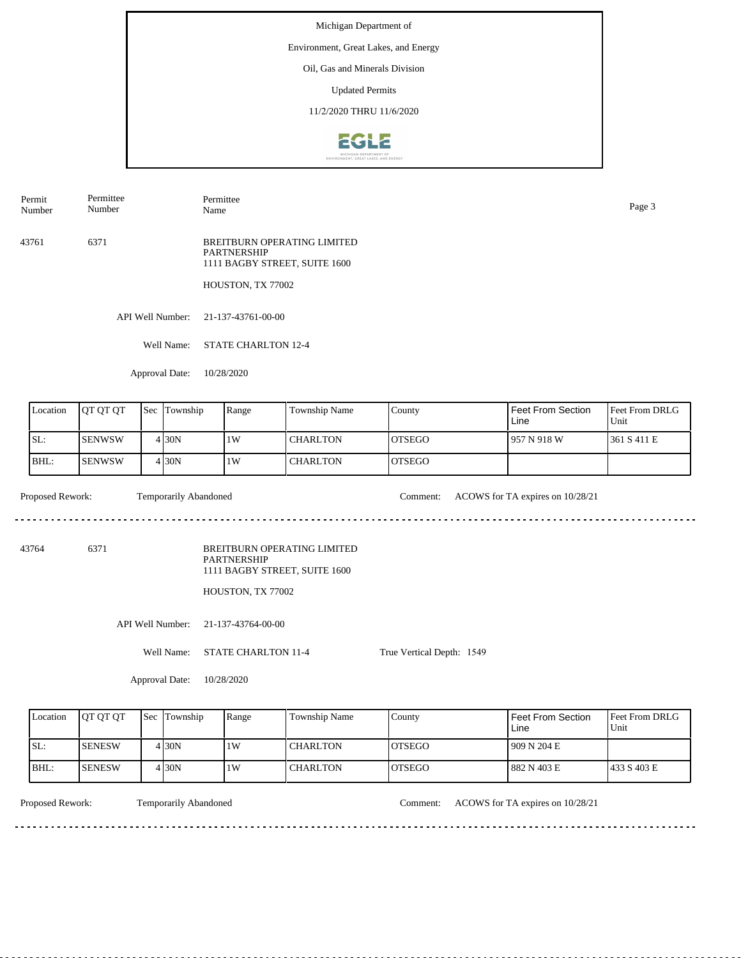Environment, Great Lakes, and Energy

Oil, Gas and Minerals Division

Updated Permits

11/2/2020 THRU 11/6/2020



Permit Number Permittee Number

Name Page 3

Permittee

43761 6371 BREITBURN OPERATING LIMITED PARTNERSHIP 1111 BAGBY STREET, SUITE 1600

HOUSTON, TX 77002

API Well Number: 21-137-43761-00-00

Well Name: STATE CHARLTON 12-4

Approval Date: 10/28/2020

| Location | <b>OT OT OT</b> | <b>Sec</b> Township | Range | Township Name   | County         | Feet From Section<br>Line | <b>Feet From DRLG</b><br>Unit |
|----------|-----------------|---------------------|-------|-----------------|----------------|---------------------------|-------------------------------|
| SL:      | ISENWSW         | 4 I 30 N            | 1W    | <b>CHARLTON</b> | <b>IOTSEGO</b> | 1957 N 918 W              | 1361 S 411 E                  |
| BHL:     | ISENWSW         | 4 I 30 N            | 1W    | <b>CHARLTON</b> | <b>OTSEGO</b>  |                           |                               |

Proposed Rework: Temporarily Abandoned Comment: ACOWS for TA expires on 10/28/21

43764 6371

BREITBURN OPERATING LIMITED PARTNERSHIP 1111 BAGBY STREET, SUITE 1600

HOUSTON, TX 77002

API Well Number: 21-137-43764-00-00

Well Name: STATE CHARLTON 11-4

True Vertical Depth: 1549

Approval Date: 10/28/2020

| Location | <b>IOT OT OT</b> | <b>Sec</b> Township | Range | Township Name   | County         | l Feet From Section<br>Line | <b>Feet From DRLG</b><br>Unit |
|----------|------------------|---------------------|-------|-----------------|----------------|-----------------------------|-------------------------------|
| ISL:     | ISENESW          | 4 30N               | 1W    | <b>CHARLTON</b> | <b>IOTSEGO</b> | 1909 N 204 E                |                               |
| BHL:     | <b>ISENESW</b>   | 4 30N               | 1W    | <b>CHARLTON</b> | <b>IOTSEGO</b> | 1 882 N 403 E               | 1433 S 403 E                  |

Temporarily Abandoned

Proposed Rework: Comment: ACOWS for TA expires on 10/28/21

. . . . . . . . . . . . . . . . . .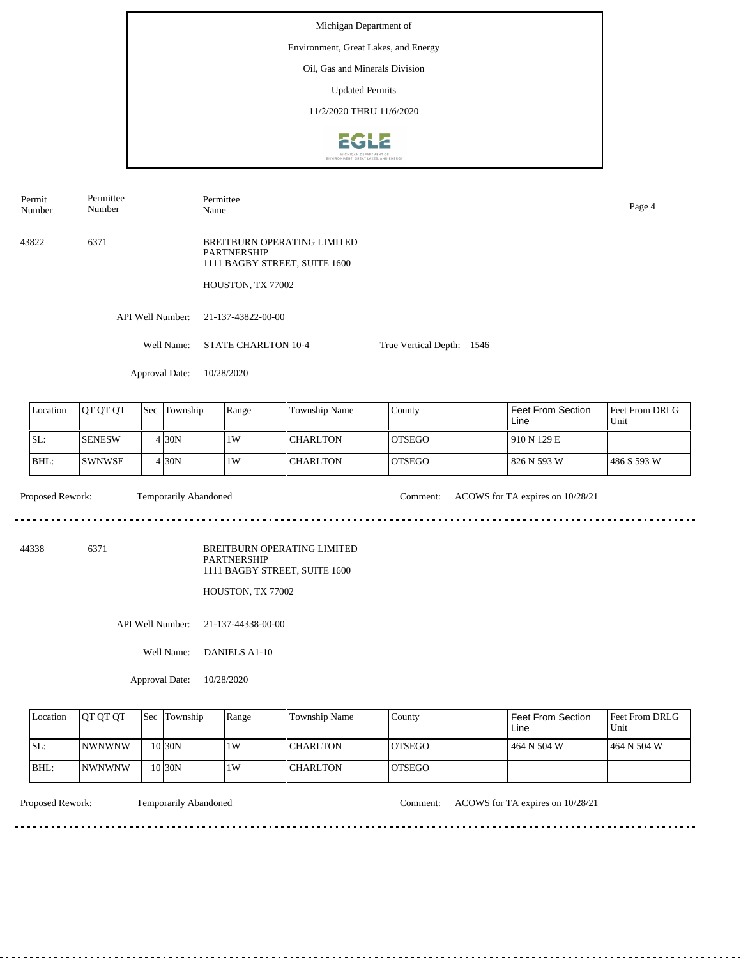Michigan Department of Environment, Great Lakes, and Energy Oil, Gas and Minerals Division Updated Permits 11/2/2020 THRU 11/6/2020**EGLE** 

Permit Number Permittee Number Permittee Name Page 4

43822 6371 BREITBURN OPERATING LIMITED PARTNERSHIP 1111 BAGBY STREET, SUITE 1600

HOUSTON, TX 77002

API Well Number: 21-137-43822-00-00

Well Name: STATE CHARLTON 10-4 True Vertical Depth: 1546

Approval Date: 10/28/2020

| Location | <b>IOT OT OT</b> | <b>Sec</b> | Township          | Range | Township Name   | County         | Feet From Section<br>Line | <b>Feet From DRLG</b><br>Unit |
|----------|------------------|------------|-------------------|-------|-----------------|----------------|---------------------------|-------------------------------|
| ISL:     | <b>SENESW</b>    |            | 4 <sub>30</sub> N | 1W    | <b>CHARLTON</b> | IOTSEGO        | 1910 N 129 E              |                               |
| BHL:     | <b>ISWNWSE</b>   |            | 4 <sub>30</sub> N | 1W    | <b>CHARLTON</b> | <b>IOTSEGO</b> | 826 N 593 W               | 1486 S 593 W                  |

Temporarily Abandoned

Proposed Rework: Comment: ACOWS for TA expires on 10/28/21

. . . . . . . . . . . . . . . . .

44338 6371

BREITBURN OPERATING LIMITED PARTNERSHIP 1111 BAGBY STREET, SUITE 1600

HOUSTON, TX 77002

API Well Number: 21-137-44338-00-00

Well Name: DANIELS A1-10

Approval Date: 10/28/2020

| Location | <b>IOT OT OT</b> | <b>Sec Township</b> | Range | <b>Township Name</b> | County         | Feet From Section<br>∟ine | <b>Feet From DRLG</b><br>Unit |
|----------|------------------|---------------------|-------|----------------------|----------------|---------------------------|-------------------------------|
| ISL:     | <b>INWNWNW</b>   | 10 <sub>30</sub> N  | 1 W   | <b>CHARLTON</b>      | <b>LOTSEGO</b> | 464 N 504 W               | 1464 N 504 W                  |
| BHL:     | <b>INWNWNW</b>   | 10 <sub>30</sub> N  | 1 W   | <b>CHARLTON</b>      | <b>IOTSEGO</b> |                           |                               |

Proposed Rework: Temporarily Abandoned Comment: ACOWS for TA expires on 10/28/21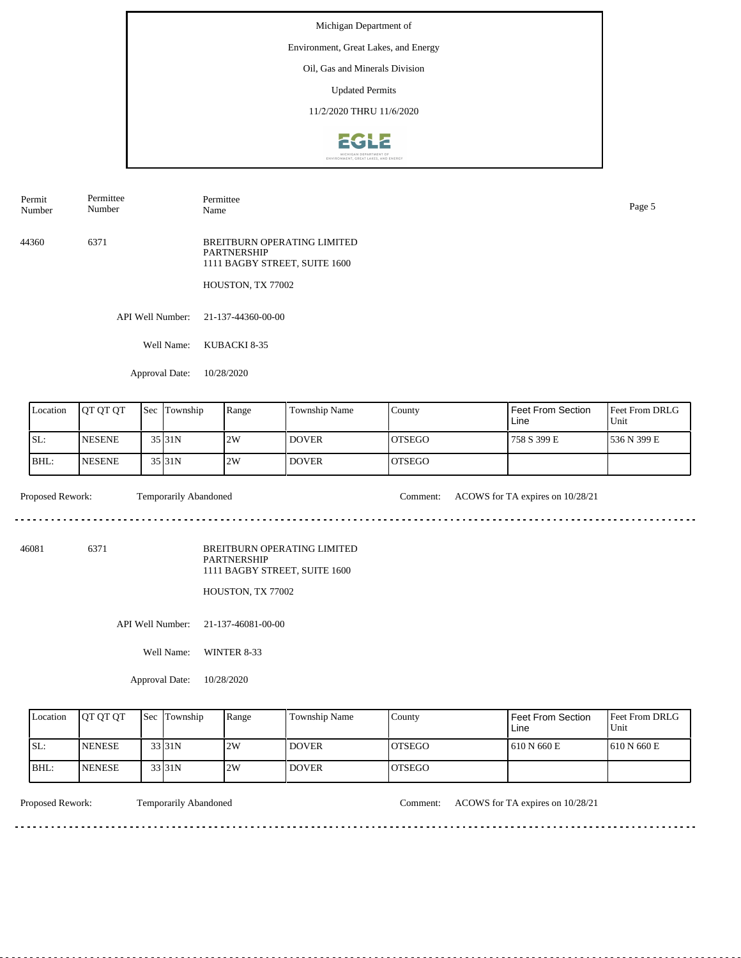# Environment, Great Lakes, and Energy

Oil, Gas and Minerals Division

Updated Permits

11/2/2020 THRU 11/6/2020



API Well Number: 21-137-44360-00-00 44360 6371 BREITBURN OPERATING LIMITED PARTNERSHIP 1111 BAGBY STREET, SUITE 1600 HOUSTON, TX 77002 Permit Number Permittee Number Permittee Name Page 5

Well Name: KUBACKI 8-35

Approval Date: 10/28/2020

| <b>L</b> ocation | <b>OT OT OT</b> | <b>Sec</b> | Township            | Range | <b>Township Name</b> | County         | <b>Feet From Section</b><br>Line | <b>Feet From DRLG</b><br>Unit |
|------------------|-----------------|------------|---------------------|-------|----------------------|----------------|----------------------------------|-------------------------------|
| ISL:             | <b>INESENE</b>  |            | 35 31N              | 2W    | <b>DOVER</b>         | <b>IOTSEGO</b> | 758 S 399 E                      | 1536 N 399 E                  |
| BHL:             | <b>NESENE</b>   |            | $35$ <sub>31N</sub> | 2W    | <b>DOVER</b>         | <b>IOTSEGO</b> |                                  |                               |

Proposed Rework: Temporarily Abandoned Comment: ACOWS for TA expires on 10/28/21

 $\mathcal{L}^{\mathcal{L}}\left( \mathcal{L}^{\mathcal{L}}\left( \mathcal{L}^{\mathcal{L}}\right) \right) =\mathcal{L}^{\mathcal{L}}\left( \mathcal{L}^{\mathcal{L}}\right)$ 

46081 6371

BREITBURN OPERATING LIMITED PARTNERSHIP 1111 BAGBY STREET, SUITE 1600

HOUSTON, TX 77002

API Well Number: 21-137-46081-00-00

Well Name: WINTER 8-33

Approval Date: 10/28/2020

| Location | <b>IOT OT OT</b> | <b>Sec Township</b> | Range | Township Name      | County         | Feet From Section<br>Line | <b>Feet From DRLG</b><br>Unit |
|----------|------------------|---------------------|-------|--------------------|----------------|---------------------------|-------------------------------|
| ISL:     | <b>INENESE</b>   | 33 31N              | 2W    | <b>DOVER</b>       | IOTSEGO        | 1610 N 660 E              | 1610 N 660 E                  |
| IBHL:    | <b>INENESE</b>   | 33 31N              | 2W    | DOVER <sup>1</sup> | <b>IOTSEGO</b> |                           |                               |

<u>. . . . . . . .</u>

Proposed Rework: Temporarily Abandoned Comment: ACOWS for TA expires on 10/28/21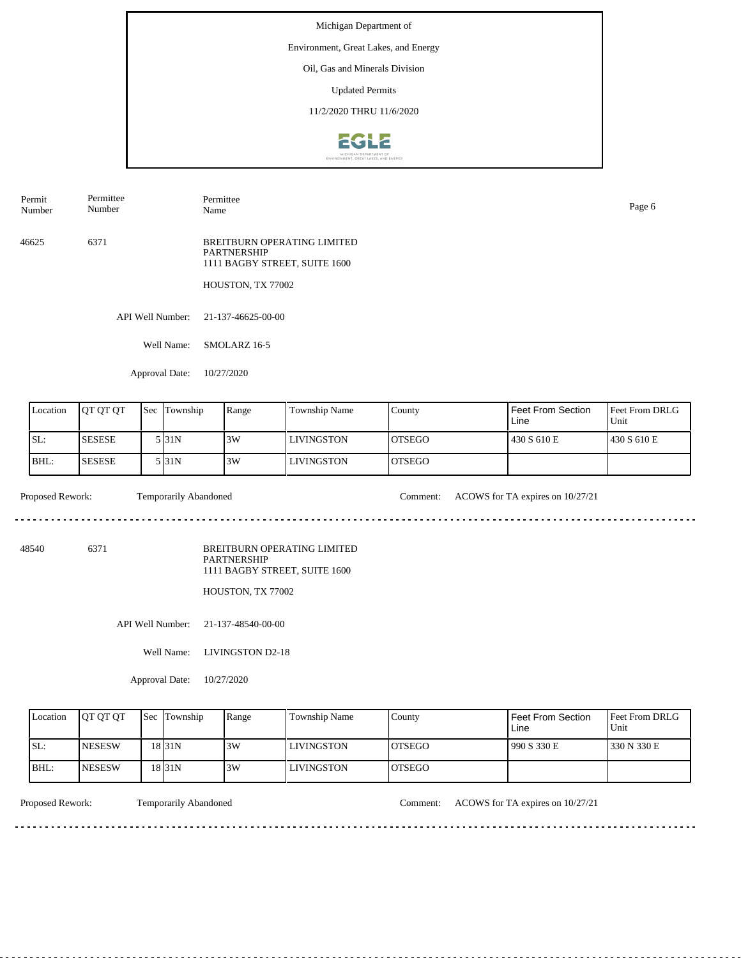# Environment, Great Lakes, and Energy

Oil, Gas and Minerals Division

Updated Permits

11/2/2020 THRU 11/6/2020



46625 6371 BREITBURN OPERATING LIMITED PARTNERSHIP 1111 BAGBY STREET, SUITE 1600 HOUSTON, TX 77002 Permit Number Permittee Number Permittee Name Page 6

API Well Number: 21-137-46625-00-00

Well Name: SMOLARZ 16-5

Approval Date: 10/27/2020

| Location | <b>OT OT OT</b> | <b>Sec</b> | Township | Range | Township Name | County         | Feet From Section<br>Line | <b>Feet From DRLG</b><br>Unit |
|----------|-----------------|------------|----------|-------|---------------|----------------|---------------------------|-------------------------------|
| ISL:     | <b>SESESE</b>   |            | 5 I31N   | 3W    | LIVINGSTON    | IOTSEGO        | 430 S 610 E               | 1430 S 610 E                  |
| BHL:     | <b>SESESE</b>   |            | 5 I31N   | 3W    | LIVINGSTON    | <b>IOTSEGO</b> |                           |                               |

 $\mathcal{L}^{\mathcal{L}}\left( \mathcal{L}^{\mathcal{L}}\left( \mathcal{L}^{\mathcal{L}}\right) \right) =\mathcal{L}^{\mathcal{L}}\left( \mathcal{L}^{\mathcal{L}}\right)$ 

Proposed Rework: Temporarily Abandoned Comment: ACOWS for TA expires on  $10/27/21$ 

. . . . . . . . . . .

48540 6371

BREITBURN OPERATING LIMITED PARTNERSHIP 1111 BAGBY STREET, SUITE 1600

HOUSTON, TX 77002

API Well Number: 21-137-48540-00-00

Well Name: LIVINGSTON D2-18

Approval Date: 10/27/2020

| Location | <b>IOT OT OT</b> | <b>Sec Township</b> | Range | <b>Township Name</b> | County         | Feet From Section<br>Line | <b>Feet From DRLG</b><br>Unit |
|----------|------------------|---------------------|-------|----------------------|----------------|---------------------------|-------------------------------|
| ISL:     | <b>INESESW</b>   | 18 31 N             | 3W    | <b>LIVINGSTON</b>    | <b>LOTSEGO</b> | 990 S 330 E               | 1330 N 330 E                  |
| IBHL:    | <b>INESESW</b>   | 18 31 N             | 3W    | <b>LIVINGSTON</b>    | <b>IOTSEGO</b> |                           |                               |

<u>. . . . . . . .</u>

Proposed Rework: Temporarily Abandoned Comment: ACOWS for TA expires on 10/27/21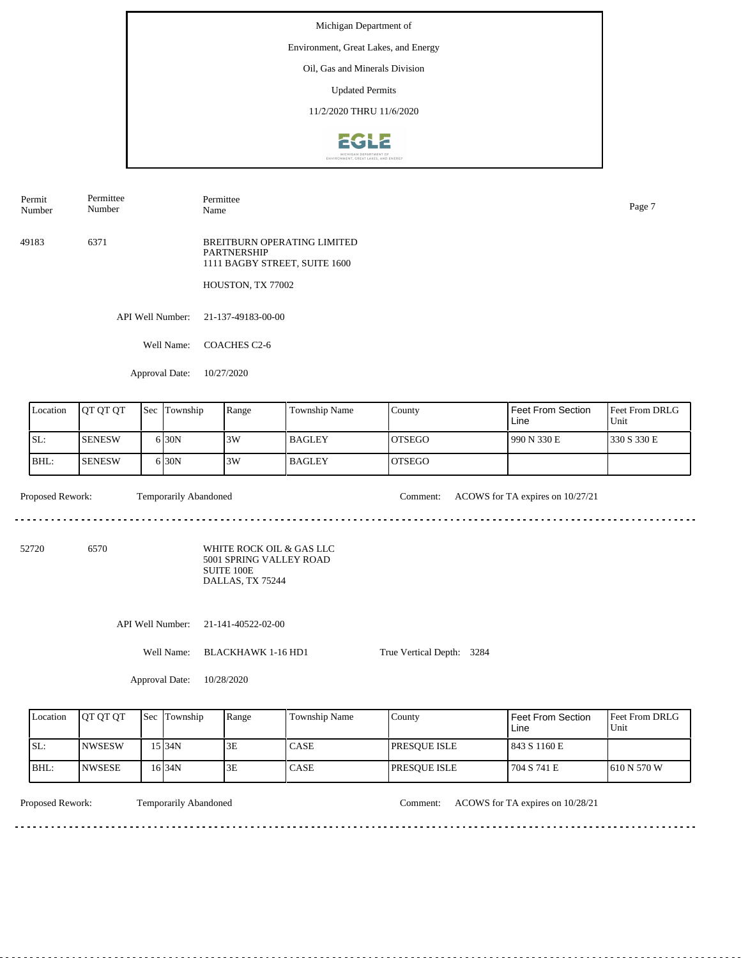Environment, Great Lakes, and Energy

Oil, Gas and Minerals Division

Updated Permits

11/2/2020 THRU 11/6/2020



Permittee

Number

Permittee Name Page 7

49183 6371 BREITBURN OPERATING LIMITED PARTNERSHIP 1111 BAGBY STREET, SUITE 1600

HOUSTON, TX 77002

API Well Number: 21-137-49183-00-00

Well Name: COACHES C2-6

Approval Date: 10/27/2020

| Location | <b>OT OT OT</b> | <b>Sec</b> | Township          | Range | Township Name | County  | Feet From Section<br>Line | <b>Feet From DRLG</b><br>'Unit |
|----------|-----------------|------------|-------------------|-------|---------------|---------|---------------------------|--------------------------------|
| SL:      | <b>SENESW</b>   |            | 6 <sub>30</sub> N | 3W    | <b>BAGLEY</b> | IOTSEGO | 1990 N 330 E              | 1330 S 330 E                   |
| BHL:     | <b>SENESW</b>   |            | 6 <sub>30</sub> N | 3W    | <b>BAGLEY</b> | IOTSEGO |                           |                                |

. . . . . . . . . . . . . . . .

 $\mathcal{L}^{\mathcal{L}}\left( \mathcal{L}^{\mathcal{L}}\left( \mathcal{L}^{\mathcal{L}}\right) \right) =\mathcal{L}^{\mathcal{L}}\left( \mathcal{L}^{\mathcal{L}}\right)$ 

Proposed Rework: Temporarily Abandoned Comment: ACOWS for TA expires on  $10/27/21$ 

<u>. . . . . . . . . . . . . . . . .</u>

52720 6570

Permit Number

> WHITE ROCK OIL & GAS LLC 5001 SPRING VALLEY ROAD SUITE 100E DALLAS, TX 75244

API Well Number: 21-141-40522-02-00

Well Name: BLACKHAWK 1-16 HD1

True Vertical Depth: 3284

Approval Date: 10/28/2020

| Location | <b>IOT OT OT</b> | l Sec | Township  | Range | <b>Township Name</b> | County               | Feet From Section<br>Line | <b>Feet From DRLG</b><br>Unit |
|----------|------------------|-------|-----------|-------|----------------------|----------------------|---------------------------|-------------------------------|
| ISL:     | <b>INWSESW</b>   |       | 15 I 34 N | 3E    | <b>CASE</b>          | <b>IPRESOUE ISLE</b> | 843 S 1160 E              |                               |
| BHL:     | <b>INWSESE</b>   |       | 16 34 N   | 3E    | <b>CASE</b>          | <b>IPRESOUE ISLE</b> | 704 S 741 E               | 1610 N 570 W                  |

Temporarily Abandoned

Proposed Rework: Comment: ACOWS for TA expires on 10/28/21

. . . . . . . .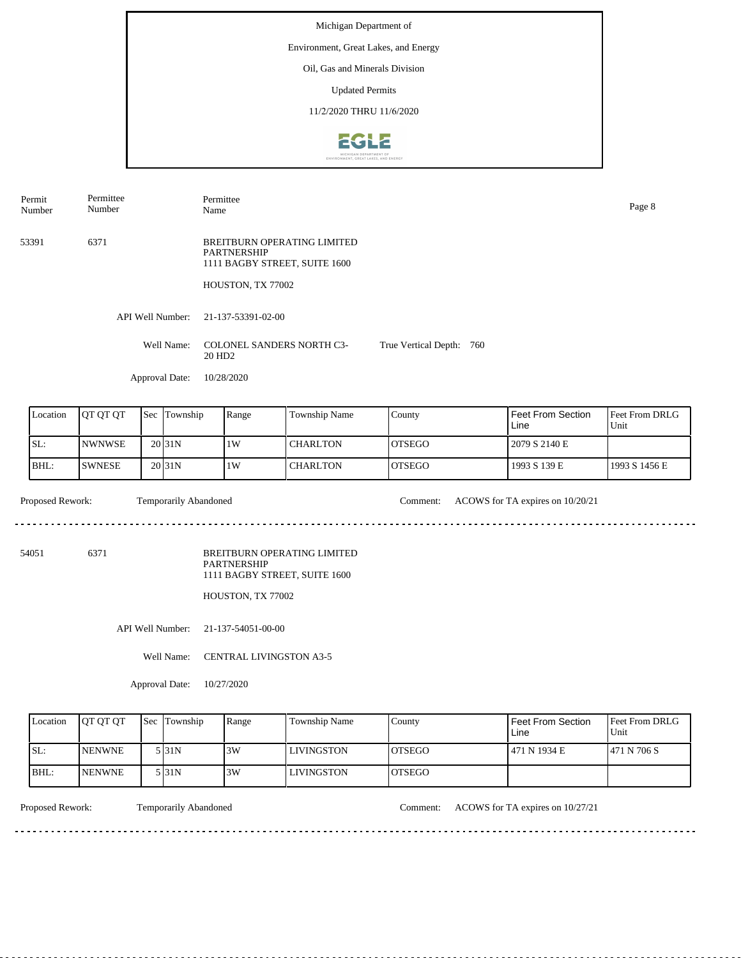Michigan Department of Environment, Great Lakes, and Energy Oil, Gas and Minerals Division Updated Permits 11/2/2020 THRU 11/6/20202612

API Well Number: 21-137-53391-02-00 Well Name: COLONEL SANDERS NORTH C3-20 HD2 Approval Date: 10/28/2020 True Vertical Depth: 760 53391 6371 BREITBURN OPERATING LIMITED PARTNERSHIP 1111 BAGBY STREET, SUITE 1600 HOUSTON, TX 77002 Permit Number Permittee Number Permittee Name Page 8

| Location | <b>IOT OT OT</b> | <b>Sec</b> | Township          | Range | <b>Township Name</b> | County         | I Feet From Section<br>Line | Feet From DRLG<br>Unit |
|----------|------------------|------------|-------------------|-------|----------------------|----------------|-----------------------------|------------------------|
| ISL:     | <b>INWNWSE</b>   |            | 20 <sub>31N</sub> | 1W    | l CHARLTON           | <b>IOTSEGO</b> | 2079 S 2140 E               |                        |
| IBHL:    | <b>ISWNESE</b>   |            | 20 <sub>31N</sub> | 1W    | I CHARLTON           | <b>IOTSEGO</b> | 1993 S 139 E                | 1993 S 1456 E          |

Temporarily Abandoned

Proposed Rework: Comment: ACOWS for TA expires on 10/20/21

54051 6371

BREITBURN OPERATING LIMITED PARTNERSHIP 1111 BAGBY STREET, SUITE 1600

HOUSTON, TX 77002

API Well Number: 21-137-54051-00-00

Well Name: CENTRAL LIVINGSTON A3-5

Approval Date: 10/27/2020

| Location | <b>IOT OT OT</b> | Sec | Township | Range | Township Name | County         | Feet From Section<br>Line | <b>Feet From DRLG</b><br>Unit |
|----------|------------------|-----|----------|-------|---------------|----------------|---------------------------|-------------------------------|
| SL:      | <b>NENWNE</b>    |     | 5 I 31 N | 3W    | LIVINGSTON    | <b>IOTSEGO</b> | 471 N 1934 E              | 1471 N 706 S                  |
| BHL:     | <b>NENWNE</b>    |     | 5 I 31 N | 3W    | LIVINGSTON    | <b>OTSEGO</b>  |                           |                               |

<u>. . . . . . . . . . . . . . . . . . .</u>

Proposed Rework: Temporarily Abandoned Comment: ACOWS for TA expires on  $10/27/21$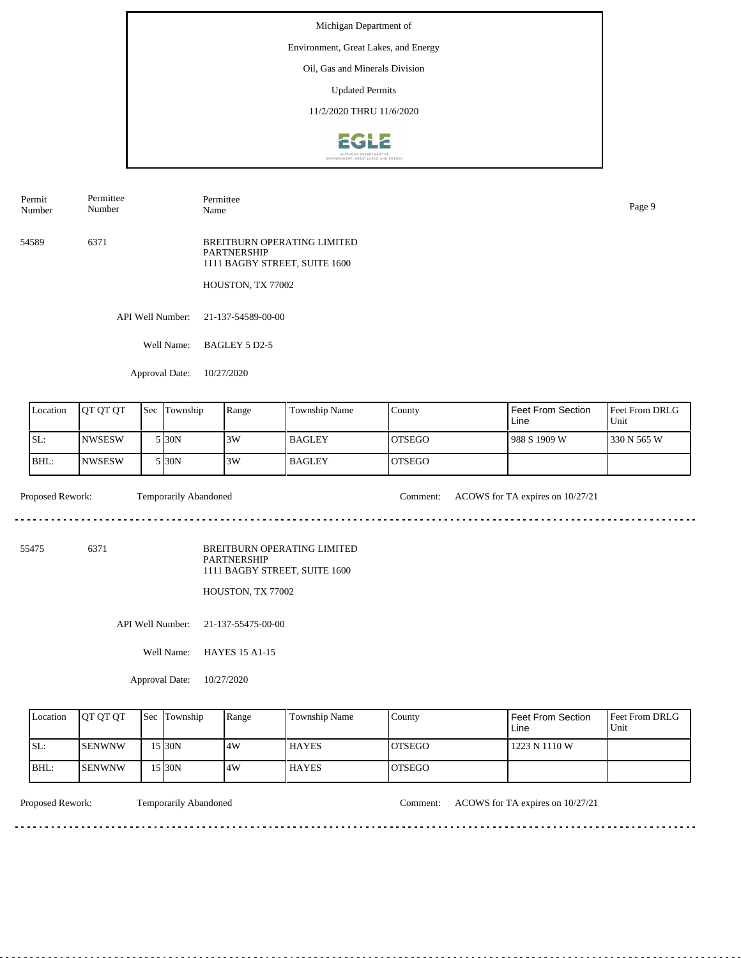# Environment, Great Lakes, and Energy

Oil, Gas and Minerals Division

Updated Permits

11/2/2020 THRU 11/6/2020



54589 6371 BREITBURN OPERATING LIMITED PARTNERSHIP 1111 BAGBY STREET, SUITE 1600 HOUSTON, TX 77002 Permit Number Permittee Number Permittee Name Page 9

API Well Number: 21-137-54589-00-00

Well Name: BAGLEY 5 D2-5

Approval Date: 10/27/2020

| Location | <b>IOT OT OT</b> | <b>Sec</b> | Township | Range | Township Name | County         | Feet From Section<br>Line | Feet From DRLG<br>Unit |
|----------|------------------|------------|----------|-------|---------------|----------------|---------------------------|------------------------|
| SL:      | <b>INWSESW</b>   |            | 5 I30N   | 3W    | <b>BAGLEY</b> | IOTSEGO        | 988 S 1909 W              | 330 N 565 W            |
| IBHL:    | <b>INWSESW</b>   |            | 5 I30N   | 3W    | <b>BAGLEY</b> | <b>IOTSEGO</b> |                           |                        |

Proposed Rework: Temporarily Abandoned Comment: ACOWS for TA expires on  $10/27/21$ 

 $\mathcal{L}^{\mathcal{L}}\left( \mathcal{L}^{\mathcal{L}}\left( \mathcal{L}^{\mathcal{L}}\right) \right) =\mathcal{L}^{\mathcal{L}}\left( \mathcal{L}^{\mathcal{L}}\right)$ 

55475 6371

BREITBURN OPERATING LIMITED PARTNERSHIP 1111 BAGBY STREET, SUITE 1600

HOUSTON, TX 77002

API Well Number: 21-137-55475-00-00

Well Name: HAYES 15 A1-15

Approval Date: 10/27/2020

| Location | <b>IOT OT OT</b> | <b>Sec Township</b> | Range | Township Name | County         | Feet From Section<br>Line | <b>Feet From DRLG</b><br>Unit |
|----------|------------------|---------------------|-------|---------------|----------------|---------------------------|-------------------------------|
| ISL:     | <b>ISENWNW</b>   | 15130N              | 4W    | <b>HAYES</b>  | <b>IOTSEGO</b> | 1223 N 1110 W             |                               |
| IBHL:    | <b>ISENWNW</b>   | 15 30N              | .4W   | <b>HAYES</b>  | <b>IOTSEGO</b> |                           |                               |

<u>. . . . . . . .</u>

Proposed Rework: Temporarily Abandoned Comment: ACOWS for TA expires on 10/27/21

. . . . . . . . . . .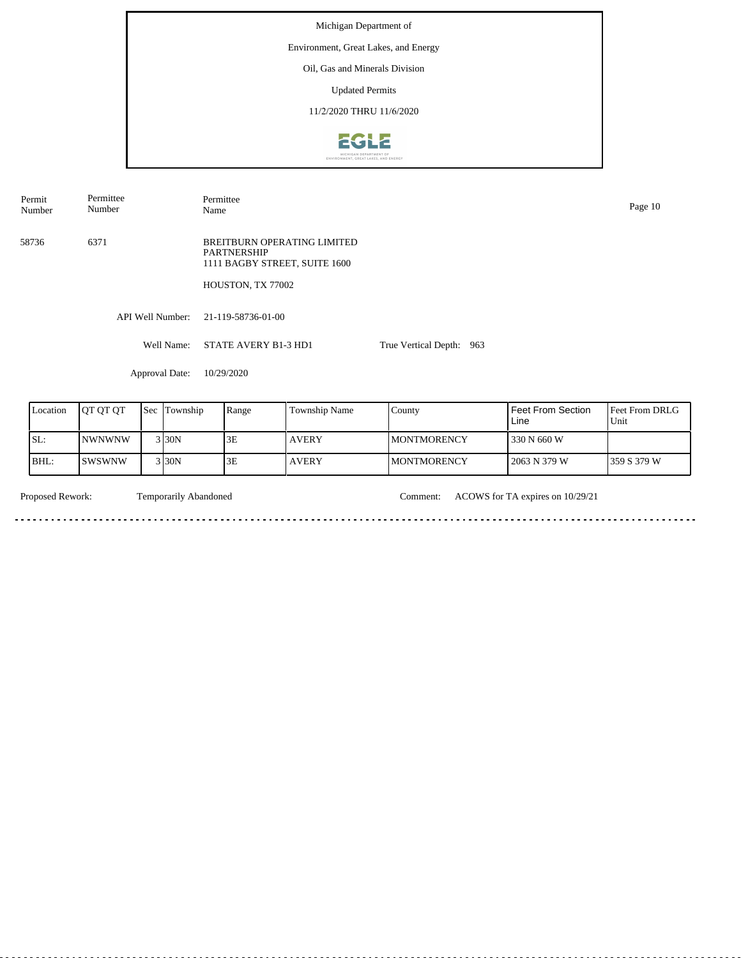Michigan Department of Environment, Great Lakes, and Energy Oil, Gas and Minerals Division Updated Permits 11/2/2020 THRU 11/6/2020**EGLE** 

Permit Number Permittee Number Permittee Name Page 10

58736 6371 BREITBURN OPERATING LIMITED PARTNERSHIP 1111 BAGBY STREET, SUITE 1600

HOUSTON, TX 77002

API Well Number: 21-119-58736-01-00

Well Name: STATE AVERY B1-3 HD1 True Vertical Depth: 963

Approval Date: 10/29/2020

| Location | IOT OT OT      | <b>Sec Township</b> | Range | <b>Township Name</b> | County              | Feet From Section<br>Line | <b>IFeet From DRLG</b><br>Unit |
|----------|----------------|---------------------|-------|----------------------|---------------------|---------------------------|--------------------------------|
| ISL:     | <b>INWNWNW</b> | 3 30N               | 3E    | <b>AVERY</b>         | <b>IMONTMORENCY</b> | 330 N 660 W               |                                |
| BHL:     | ISWSWNW        | 3 <sub>130</sub> N  | 3E    | <b>AVERY</b>         | <b>IMONTMORENCY</b> | 2063 N 379 W              | 359 S 379 W                    |

<u>. . . . . . . . . . . . . . .</u>

 $\sim$   $\sim$ 

Temporarily Abandoned

Proposed Rework: Comment: ACOWS for TA expires on 10/29/21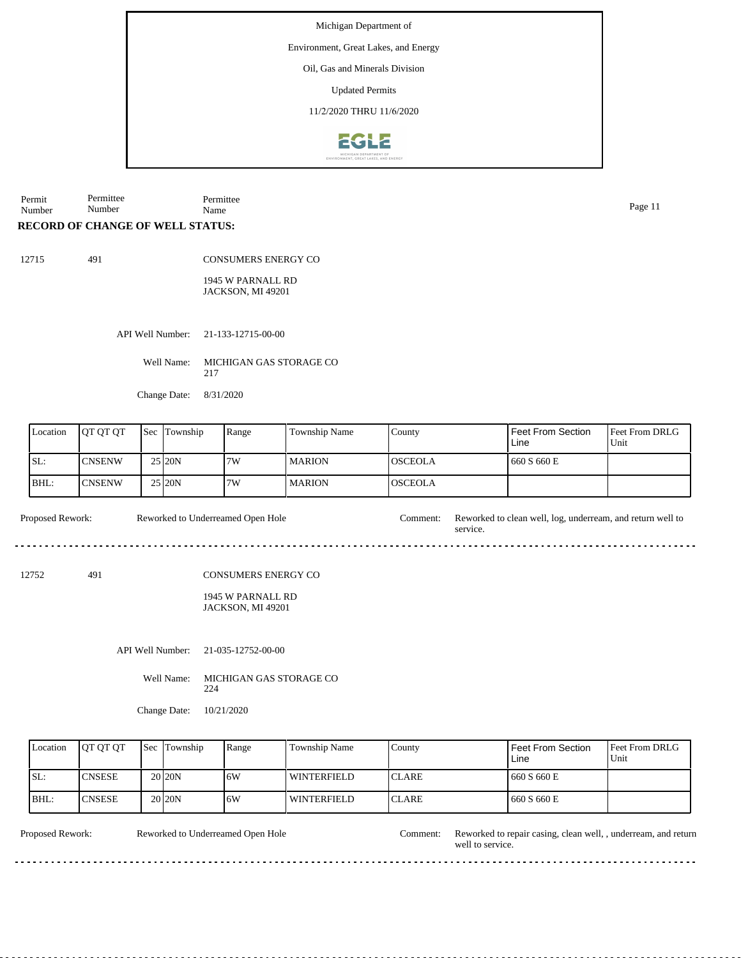Environment, Great Lakes, and Energy

Oil, Gas and Minerals Division

Updated Permits

11/2/2020 THRU 11/6/2020



Permit Number Permittee Number Permittee Name Page 11

# **RECORD OF CHANGE OF WELL STATUS:**

12715 491

CONSUMERS ENERGY CO

1945 W PARNALL RD JACKSON, MI 49201

API Well Number: 21-133-12715-00-00

Well Name: MICHIGAN GAS STORAGE CO 217

Change Date: 8/31/2020

| Location | <b>IOT OT OT</b> | 'Sec | Township | Range | Township Name | County         | Feet From Section<br>Line | <b>Feet From DRLG</b><br>Unit |
|----------|------------------|------|----------|-------|---------------|----------------|---------------------------|-------------------------------|
| ISL:     | <b>CNSENW</b>    |      | 25 20N   | 7W    | <b>MARION</b> | IOSCEOLA       | 660 S 660 E               |                               |
| BHL:     | <b>CNSENW</b>    |      | 25 20N   | 7W    | <b>MARION</b> | <b>OSCEOLA</b> |                           |                               |

service.

 $- - - - -$ 

Proposed Rework: Reworked to Underreamed Open Hole Comment: Reworked to clean well, log, underream, and return well to Reworked to Underreamed Open Hole

12752 491

CONSUMERS ENERGY CO

1945 W PARNALL RD JACKSON, MI 49201

API Well Number: 21-035-12752-00-00

Well Name: MICHIGAN GAS STORAGE CO 224

Change Date: 10/21/2020

| Location | <b>IOT OT OT</b> | <b>Sec Township</b> | Range | Township Name      | County        | Feet From Section<br>Line | <b>Feet From DRLG</b><br>Unit |
|----------|------------------|---------------------|-------|--------------------|---------------|---------------------------|-------------------------------|
| SL:      | ICNSESE          | 20 <sub>20</sub> N  | 6W    | <b>WINTERFIELD</b> | <b>ICLARE</b> | 660 S 660 E               |                               |
| IBHL:    | <b>ICNSESE</b>   | 20 <sub>20</sub> N  | .6W   | <b>WINTERFIELD</b> | <b>ICLARE</b> | 660 S 660 E               |                               |

Reworked to Underreamed Open Hole

Proposed Rework: Reworked to Underreamed Open Hole Comment: Reworked to repair casing, clean well, , underream, and return well to service.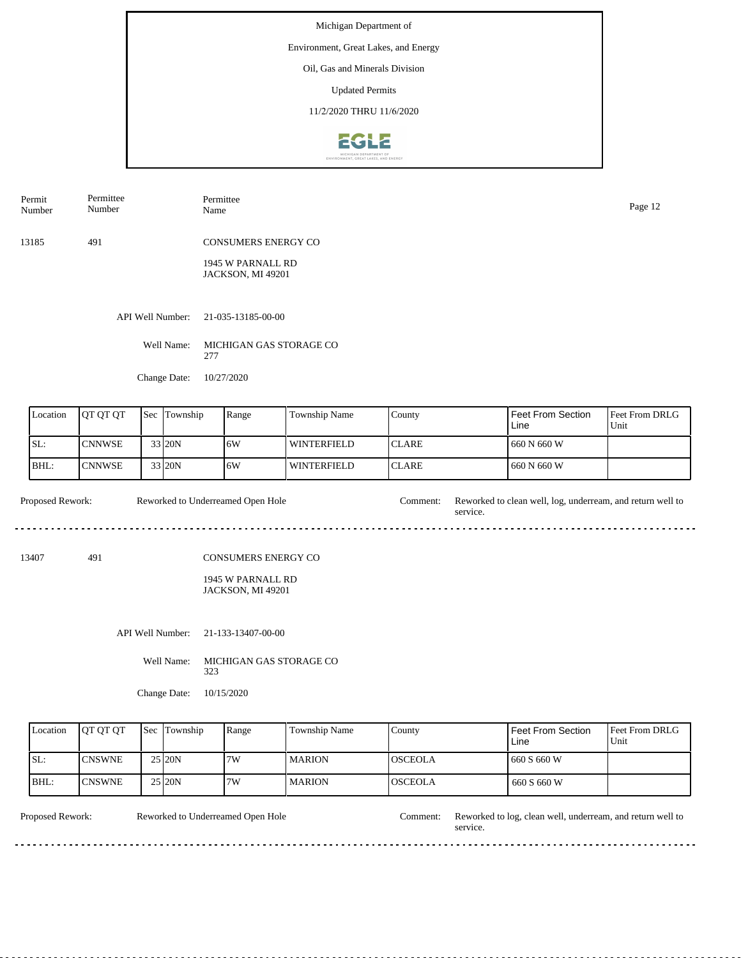Environment, Great Lakes, and Energy

Oil, Gas and Minerals Division

Updated Permits

11/2/2020 THRU 11/6/2020



| Permit<br>Number | Permittee<br>Number | Permittee<br>Name                      | Page 12 |
|------------------|---------------------|----------------------------------------|---------|
| 13185            | 491                 | <b>CONSUMERS ENERGY CO</b>             |         |
|                  |                     | 1945 W PARNALL RD<br>JACKSON, MI 49201 |         |
|                  |                     |                                        |         |

API Well Number: 21-035-13185-00-00

Well Name: MICHIGAN GAS STORAGE CO 277

Change Date: 10/27/2020

| Location | <b>IOT OT OT</b> | <b>Sec</b> | Township | Range | Township Name      | County        | l Feet From Section<br>Line | <b>Feet From DRLG</b><br>Unit |
|----------|------------------|------------|----------|-------|--------------------|---------------|-----------------------------|-------------------------------|
| SL:      | <b>CNNWSE</b>    |            | 33 20N   | 16W   | WINTERFIELD        | <b>ICLARE</b> | 660 N 660 W                 |                               |
| IBHL:    | <b>CNNWSE</b>    |            | 33 20N   | 16W   | <b>WINTERFIELD</b> | <b>ICLARE</b> | 1660 N 660 W                |                               |

Proposed Rework: Reworked to Underreamed Open Hole Comment: Reworked to clean well, log, underream, and return well to service. Reworked to Underreamed Open Hole

13407 491

#### CONSUMERS ENERGY CO

1945 W PARNALL RD JACKSON, MI 49201

API Well Number: 21-133-13407-00-00

Well Name: MICHIGAN GAS STORAGE CO 323

Change Date: 10/15/2020

| Location | <b>OT OT OT</b> | <b>Sec Township</b> | Range | Township Name | County          | Feet From Section<br>Line | <b>Feet From DRLG</b><br>Unit |
|----------|-----------------|---------------------|-------|---------------|-----------------|---------------------------|-------------------------------|
| SL:      | <b>CNSWNE</b>   | 25 20N              | 7W    | l MARION      | IOSCEOLA        | 660 S 660 W               |                               |
| BHL:     | <b>ICNSWNE</b>  | 25 20N              | 7W    | l MARION      | <b>IOSCEOLA</b> | 660 S 660 W               |                               |

. . . . . . . .

Reworked to Underreamed Open Hole

<u>o dio dio dio d</u>

Proposed Rework: Reworked to Underreamed Open Hole Comment: Reworked to log, clean well, underream, and return well to service.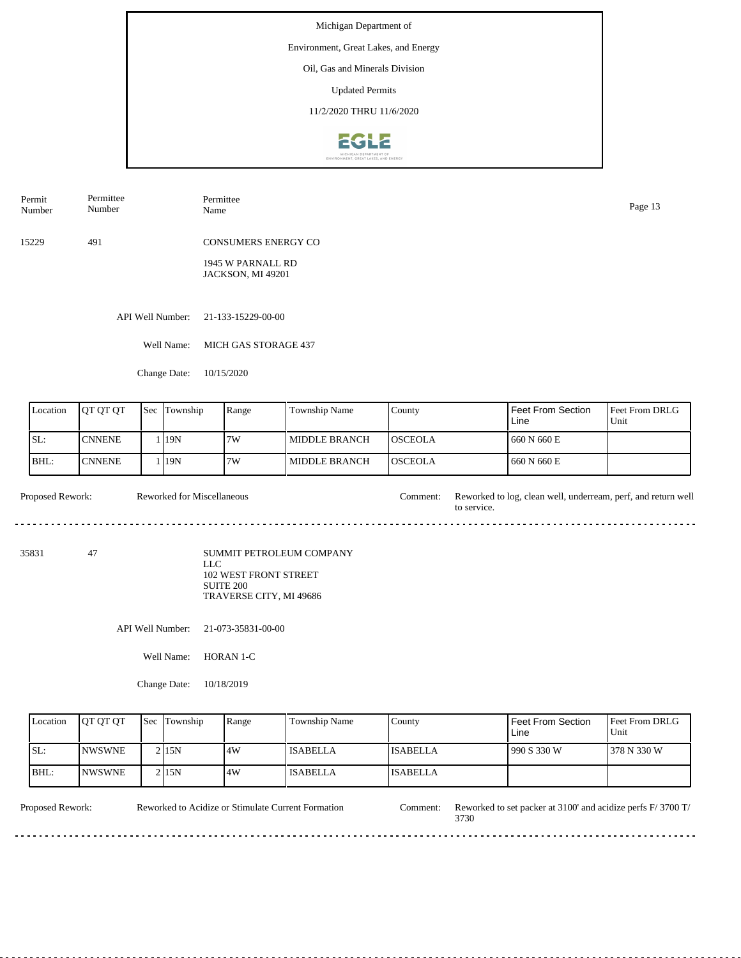#### Environment, Great Lakes, and Energy

Oil, Gas and Minerals Division

Updated Permits

11/2/2020 THRU 11/6/2020



| Permit | Permittee | Permittee           | Page 13 |
|--------|-----------|---------------------|---------|
| Number | Number    | Name                |         |
| 15229  | 491       | CONSUMERS ENERGY CO |         |

1945 W PARNALL RD JACKSON, MI 49201

API Well Number: 21-133-15229-00-00

Well Name: MICH GAS STORAGE 437

Change Date: 10/15/2020

| Location | <b>IOT OT OT</b> | Sec | Township | Range | Township Name          | County          | <b>Feet From Section</b><br>Line | <b>Feet From DRLG</b><br>Unit |
|----------|------------------|-----|----------|-------|------------------------|-----------------|----------------------------------|-------------------------------|
| SL:      | <b>CNNENE</b>    |     | 19N      | 7W    | <b>I MIDDLE BRANCH</b> | <b>IOSCEOLA</b> | 660 N 660 E                      |                               |
| BHL:     | <b>CNNENE</b>    |     | 119N     | 17W   | <b>IMIDDLE BRANCH</b>  | <b>IOSCEOLA</b> | 660 N 660 E                      |                               |

Proposed Rework: Reworked for Miscellaneous Comment: Reworked to log, clean well, underream, perf, and return well Reworked for Miscellaneous to service. 

35831 47

SUMMIT PETROLEUM COMPANY LLC 102 WEST FRONT STREET SUITE 200 TRAVERSE CITY, MI 49686

API Well Number: 21-073-35831-00-00

Well Name: HORAN 1-C

Change Date: 10/18/2019

| Location | <b>OT OT OT</b> | <b>Sec Township</b> | Range | Township Name   | County          | <sup>I</sup> Feet From Section<br>Line | <b>IFeet From DRLG</b><br>Unit |
|----------|-----------------|---------------------|-------|-----------------|-----------------|----------------------------------------|--------------------------------|
| ISL:     | <b>INWSWNE</b>  | $2$  15N            | 4W    | <b>ISABELLA</b> | <b>ISABELLA</b> | 1990 S 330 W                           | 1378 N 330 W                   |
| BHL:     | <b>INWSWNE</b>  | 2115N               | 4W    | <b>ISABELLA</b> | <b>ISABELLA</b> |                                        |                                |

Reworked to Acidize or Stimulate Current Formation

Proposed Rework: Reworked to Acidize or Stimulate Current Formation Comment: Reworked to set packer at 3100' and acidize perfs F/ 3700 T/ 3730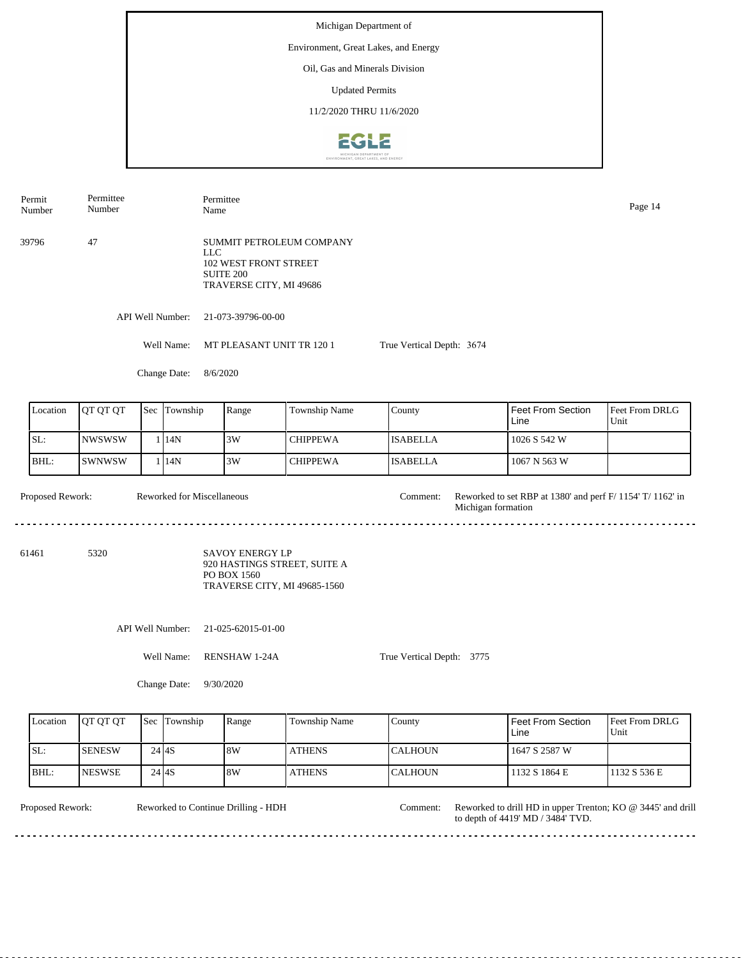Michigan Department of Environment, Great Lakes, and Energy Oil, Gas and Minerals Division Updated Permits 11/2/2020 THRU 11/6/20202612

Permittee Permit Permittee Number Name Page 14 Number 39796 47 SUMMIT PETROLEUM COMPANY LLC 102 WEST FRONT STREET SUITE 200 TRAVERSE CITY, MI 49686 API Well Number: 21-073-39796-00-00 Well Name: MT PLEASANT UNIT TR 120 1 True Vertical Depth: 3674 Change Date: 8/6/2020 Feet From Section Location | QT QT QT | Sec | Township | Range | Township Name Sec Township County Feet From DRLG Line Unit SL: NWSWSW 3W CHIPPEWA ISABELLA 1026 S 542 W 1 14N BHL: SWNWSW CHIPPEWA ISABELLA 1067 N 563 W 1 14N 3W Proposed Rework: Reworked for Miscellaneous Comment: Reworked to set RBP at 1380' and perf F/ 1154' T/ 1162' in Reworked for Miscellaneous Comment: Michigan formation 61461 5320 SAVOY ENERGY LP 920 HASTINGS STREET, SUITE A PO BOX 1560 TRAVERSE CITY, MI 49685-1560 API Well Number: 21-025-62015-01-00 Well Name: RENSHAW 1-24A True Vertical Depth: 3775 Change Date: 9/30/2020

| Location | <b>IOT OT OT</b> |           | <b>Sec</b> Township | Range | <b>Township Name</b> | County          | l Feet From Section.<br>Line | Feet From DRLG<br>Unit |
|----------|------------------|-----------|---------------------|-------|----------------------|-----------------|------------------------------|------------------------|
| ISL:     | <b>SENESW</b>    |           | 24 4 S              | 18W   | <b>ATHENS</b>        | <b>ICALHOUN</b> | 1647 S 2587 W                |                        |
| BHL:     | <b>NESWSE</b>    | $24$ $4S$ |                     | 18W   | <b>ATHENS</b>        | <b>ICALHOUN</b> | 1132 S 1864 E                | 1132 S 536 E           |

. . . . . . . . . . . . . . . . . .

Reworked to Continue Drilling - HDH

Proposed Rework: Reworked to Continue Drilling - HDH Comment: Reworked to drill HD in upper Trenton; KO @ 3445' and drill to depth of 4419' MD / 3484' TVD. Comment: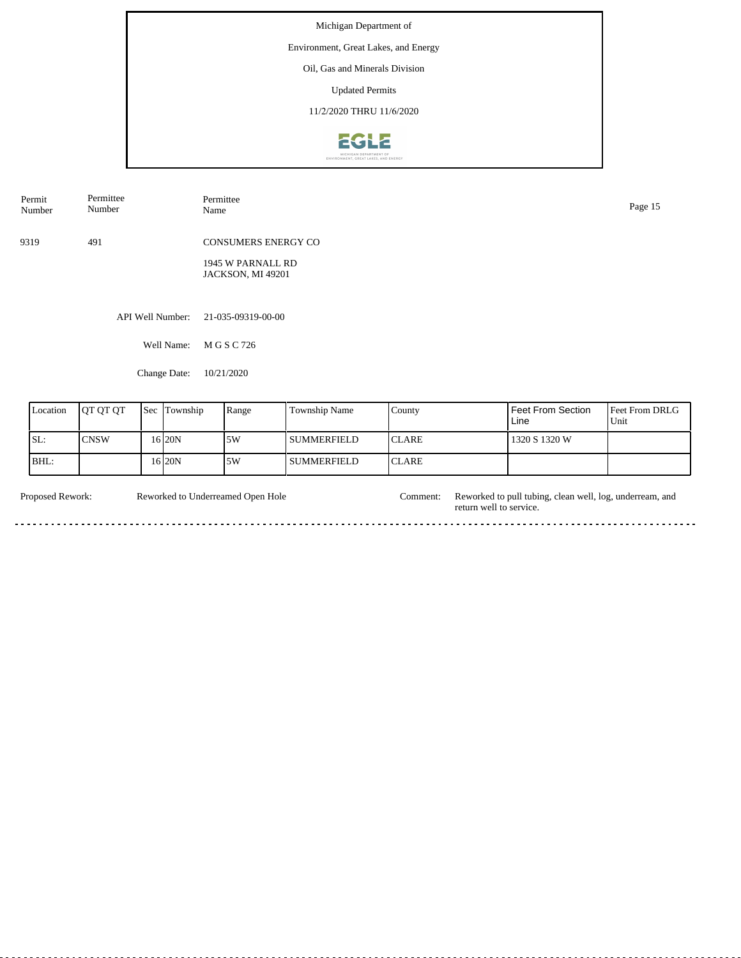Environment, Great Lakes, and Energy

Oil, Gas and Minerals Division

Updated Permits

11/2/2020 THRU 11/6/2020



| Permittee<br>Permit<br>Number<br>Number |      |                  | Permittee<br>Name                      | Page 15 |
|-----------------------------------------|------|------------------|----------------------------------------|---------|
|                                         | 9319 | 491              | <b>CONSUMERS ENERGY CO</b>             |         |
|                                         |      |                  | 1945 W PARNALL RD<br>JACKSON, MI 49201 |         |
|                                         |      |                  |                                        |         |
|                                         |      | API Well Number: | 21-035-09319-00-00                     |         |
|                                         |      | Well Name:       | M G S C 726                            |         |
|                                         |      | Change Date:     | 10/21/2020                             |         |

| Location | <b>IQT OT OT</b> | Sec | Township  | Range | <b>Township Name</b> | County        | l Feet From Section<br>Line | <b>Feet From DRLG</b><br>Unit |
|----------|------------------|-----|-----------|-------|----------------------|---------------|-----------------------------|-------------------------------|
| SL:      | <b>CNSW</b>      |     | 16 20N    | 15W   | I SUMMERFIELD        | <b>ICLARE</b> | 1320 S 1320 W               |                               |
| IBHL:    |                  |     | 16 I 20 N | 15W   | I SUMMERFIELD        | <b>ICLARE</b> |                             |                               |

Proposed Rework: Reworked to Underreamed Open Hole Comment: Reworked to pull tubing, clean well, log, underream, and Reworked to Underreamed Open Hole return well to service.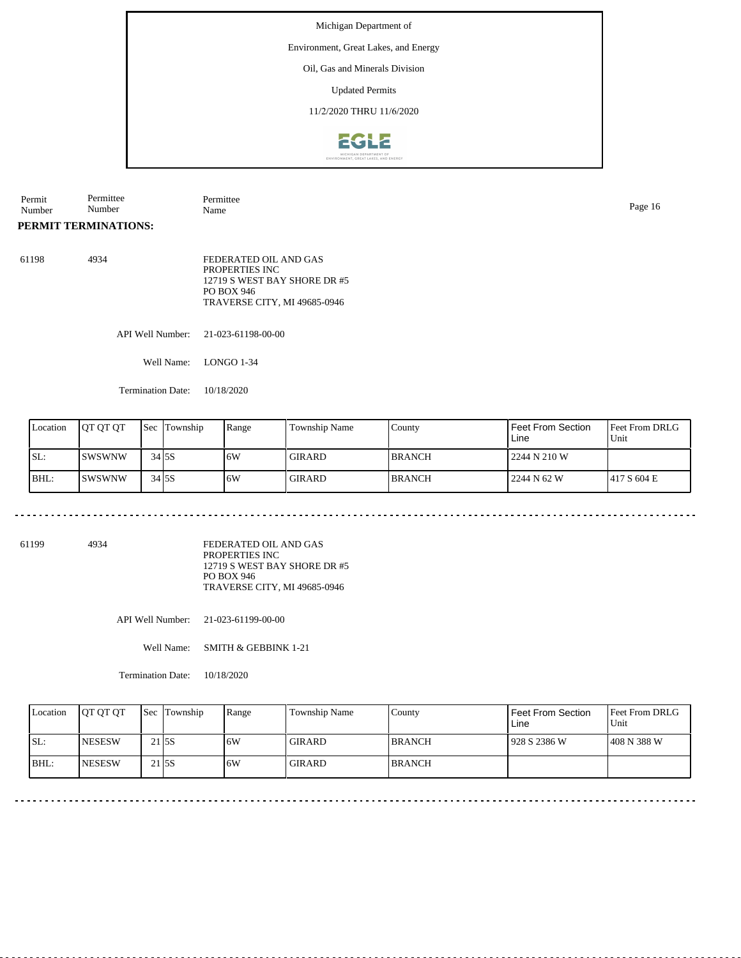Environment, Great Lakes, and Energy

Oil, Gas and Minerals Division

Updated Permits

11/2/2020 THRU 11/6/2020



| Permit | Permitte      | –<br>Permittee |      |  |
|--------|---------------|----------------|------|--|
| Number | $\sim$ $\sim$ | Name           | Page |  |
|        | Number        |                |      |  |

# **PERMIT TERMINATIONS:**

| 61198 | 4934 | FEDERATED OIL AND GAS        |
|-------|------|------------------------------|
|       |      | PROPERTIES INC.              |
|       |      | 12719 S WEST BAY SHORE DR #5 |
|       |      | PO BOX 946                   |
|       |      | TRAVERSE CITY, MI 49685-0946 |

API Well Number: 21-023-61198-00-00

Well Name: LONGO 1-34

Termination Date: 10/18/2020

| Location | <b>IOT OT OT</b> | <b>Sec</b> | Township | Range | <b>Township Name</b> | County         | l Feet From Section<br>Line | Feet From DRLG<br>Unit |
|----------|------------------|------------|----------|-------|----------------------|----------------|-----------------------------|------------------------|
| SL:      | ISWSWNW          |            | 34 5 S   | 16W   | <b>GIRARD</b>        | <b>IBRANCH</b> | 2244 N 210 W                |                        |
| BHL:     | <b>ISWSWNW</b>   |            | $34$ 5S  | 16W   | <b>GIRARD</b>        | <b>IBRANCH</b> | 2244 N 62 W                 | 417 S 604 E            |

. . . . . . . . . . . . . . . . . . . .

61199 4934

FEDERATED OIL AND GAS PROPERTIES INC 12719 S WEST BAY SHORE DR #5 PO BOX 946 TRAVERSE CITY, MI 49685-0946

API Well Number: 21-023-61199-00-00

Well Name: SMITH & GEBBINK 1-21

Termination Date: 10/18/2020

| Location | <b>JOT OT OT</b> | <b>Sec</b> Township | Range | <b>Township Name</b> | County         | <b>Feet From Section</b><br>Line | <b>Feet From DRLG</b><br>Unit |
|----------|------------------|---------------------|-------|----------------------|----------------|----------------------------------|-------------------------------|
| SL:      | <b>NESESW</b>    | $21$ 5S             | 6W    | <b>GIRARD</b>        | <b>IBRANCH</b> | 1928 S 2386 W                    | 408 N 388 W                   |
| BHL      | <b>INESESW</b>   | 21 5 S              | 6W    | <b>GIRARD</b>        | <b>BRANCH</b>  |                                  |                               |

 $\ddot{\phantom{1}}$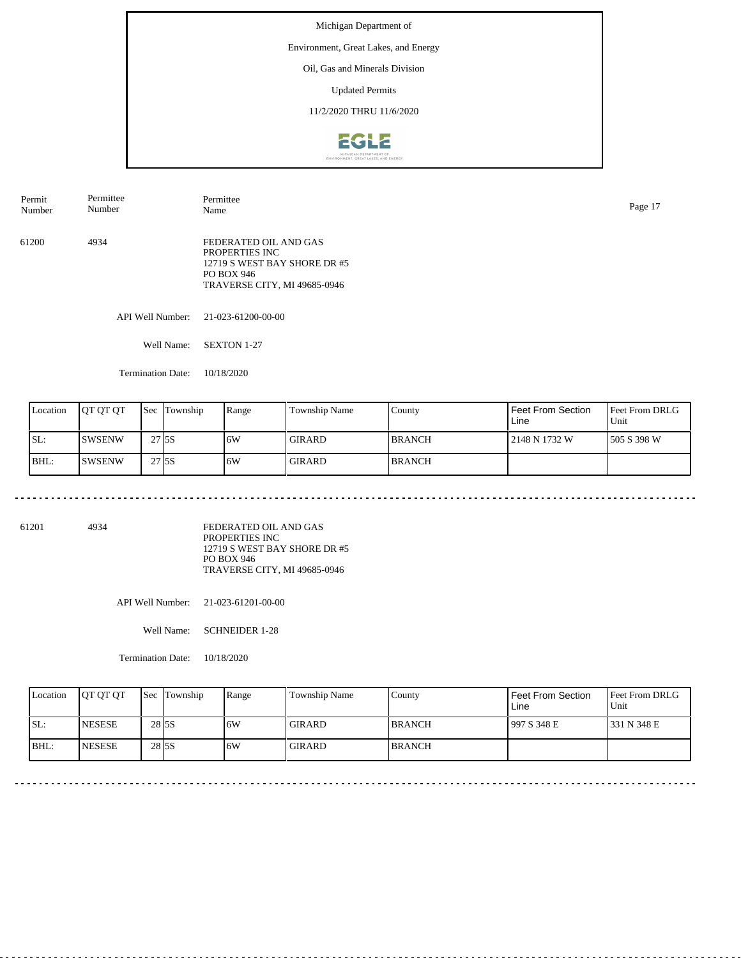Environment, Great Lakes, and Energy

Oil, Gas and Minerals Division

Updated Permits

11/2/2020 THRU 11/6/2020



API Well Number: 21-023-61200-00-00 Well Name: SEXTON 1-27 61200 4934 FEDERATED OIL AND GAS PROPERTIES INC 12719 S WEST BAY SHORE DR #5 PO BOX 946 TRAVERSE CITY, MI 49685-0946 Permit Number Permittee Number Permittee Name Page 17

Termination Date: 10/18/2020

| Location | IOT OT OT     | <b>Sec</b>   | Township | Range | Township Name | County        | Feet From Section<br>Line | <b>Feet From DRLG</b><br>Unit |
|----------|---------------|--------------|----------|-------|---------------|---------------|---------------------------|-------------------------------|
| SL:      | <b>SWSENW</b> | 27 ISS       |          | .6W   | <b>GIRARD</b> | <b>BRANCH</b> | 2148 N 1732 W             | 1505 S 398 W                  |
| BHL:     | <b>SWSENW</b> | 27 <b>5S</b> |          | .6W   | <b>GIRARD</b> | <b>BRANCH</b> |                           |                               |

61201 4934

FEDERATED OIL AND GAS PROPERTIES INC 12719 S WEST BAY SHORE DR #5 PO BOX 946 TRAVERSE CITY, MI 49685-0946

API Well Number: 21-023-61201-00-00

Well Name: SCHNEIDER 1-28

Termination Date: 10/18/2020

| Location | <b>IOT OT OT</b> | <b>Sec Township</b> | Range | <b>Township Name</b> | Countv        | Feet From Section<br>Line | <b>Feet From DRLG</b><br>Unit |
|----------|------------------|---------------------|-------|----------------------|---------------|---------------------------|-------------------------------|
| ISL:     | <b>NESESE</b>    | 28 5 S              | 6W    | GIRARD               | <b>BRANCH</b> | 1997 S 348 E              | 1331 N 348 E                  |
| BHL:     | <b>INESESE</b>   | 28 5 S              | .6W   | <b>GIRARD</b>        | <b>BRANCH</b> |                           |                               |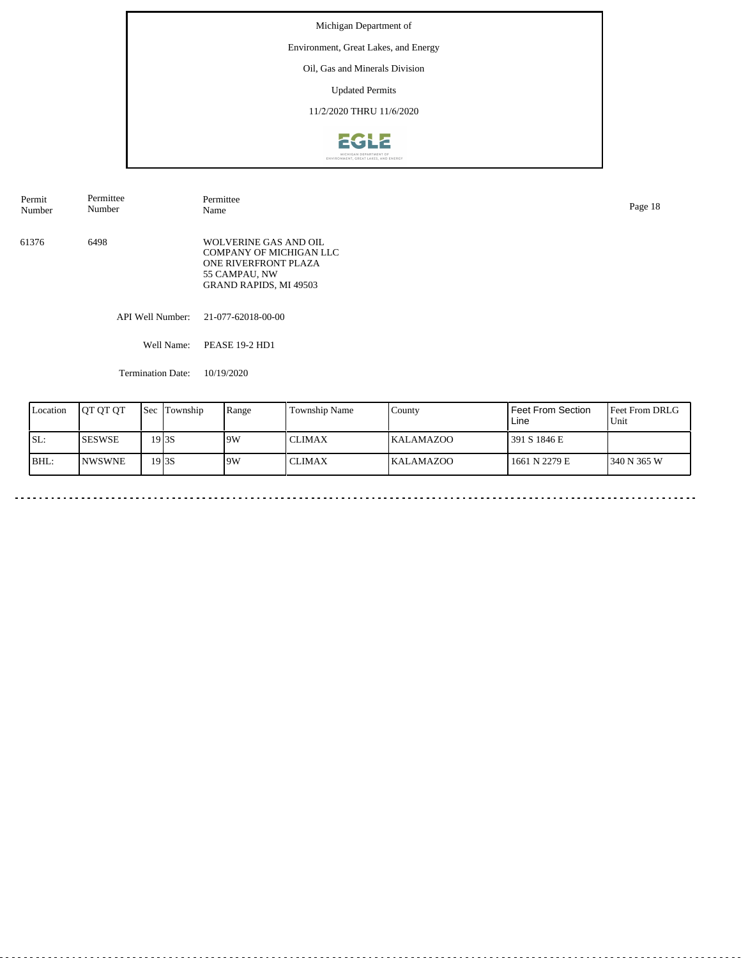Michigan Department of Environment, Great Lakes, and Energy Oil, Gas and Minerals Division Updated Permits 11/2/2020 THRU 11/6/2020EGLE

| Permittee<br>Permit<br>Number<br>Number |                          | Permittee<br>Name                                                                                                          |  |  |  |
|-----------------------------------------|--------------------------|----------------------------------------------------------------------------------------------------------------------------|--|--|--|
| 61376                                   | 6498                     | WOLVERINE GAS AND OIL<br>COMPANY OF MICHIGAN LLC<br>ONE RIVERFRONT PLAZA<br>55 CAMPAU, NW<br><b>GRAND RAPIDS, MI 49503</b> |  |  |  |
|                                         |                          | API Well Number: 21-077-62018-00-00                                                                                        |  |  |  |
|                                         | Well Name:               | <b>PEASE 19-2 HD1</b>                                                                                                      |  |  |  |
|                                         | <b>Termination Date:</b> | 10/19/2020                                                                                                                 |  |  |  |

| Location | <b>JOT OT OT</b> | <b>Sec</b> | Township | Range | Township Name | County           | <b>Feet From Section</b><br>Line | <b>Feet From DRLG</b><br>Unit |
|----------|------------------|------------|----------|-------|---------------|------------------|----------------------------------|-------------------------------|
| SL:      | <b>ISESWSE</b>   |            | 19 I 3S  | 9W    | <b>CLIMAX</b> | <b>KALAMAZOO</b> | 391 S 1846 E                     |                               |
| BHL:     | <b>INWSWNE</b>   |            | 19 I 3S  | 19W   | <b>CLIMAX</b> | <b>KALAMAZOO</b> | 1661 N 2279 E                    | 1340 N 365 W                  |

 $\mathbf{r}$